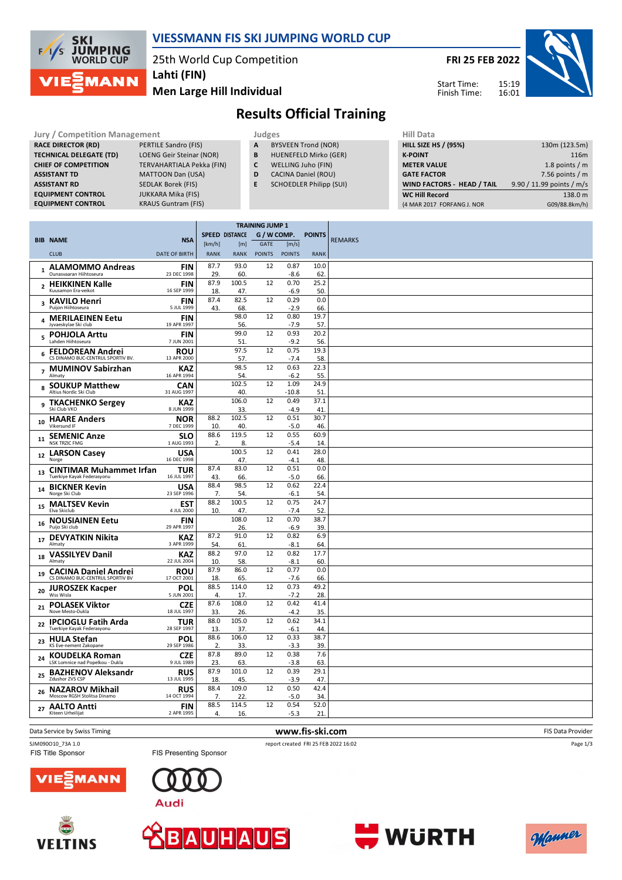

## **VIESSMANN FIS SKI JUMPING WORLD CUP**

25th World Cup Competition

**Men Large Hill Individual Lahti (FIN)**

**FRI 25 FEB 2022**

Start Time: Finish Time: 15:19 16:01



# **Results Official Training**

| <b>Jury / Competition Management</b> |                                  |    | Judges                         | <b>Hill Data</b>   |
|--------------------------------------|----------------------------------|----|--------------------------------|--------------------|
| <b>RACE DIRECTOR (RD)</b>            | PERTILE Sandro (FIS)             | A  | <b>BYSVEEN Trond (NOR)</b>     | <b>HILL SIZE I</b> |
| <b>TECHNICAL DELEGATE (TD)</b>       | <b>LOENG Geir Steinar (NOR)</b>  | B  | <b>HUENEFELD Mirko (GER)</b>   | <b>K-POINT</b>     |
| <b>CHIEF OF COMPETITION</b>          | <b>TERVAHARTIALA Pekka (FIN)</b> |    | WELLING Juho (FIN)             | <b>METER VA</b>    |
| <b>ASSISTANT TD</b>                  | <b>MATTOON Dan (USA)</b>         | D  | <b>CACINA Daniel (ROU)</b>     | <b>GATE FACT</b>   |
| <b>ASSISTANT RD</b>                  | <b>SEDLAK Borek (FIS)</b>        | E. | <b>SCHOEDLER Philipp (SUI)</b> | <b>WIND FAC</b>    |
| <b>EQUIPMENT CONTROL</b>             | <b>JUKKARA Mika (FIS)</b>        |    |                                | <b>WC Hill Re</b>  |
| <b>EQUIPMENT CONTROL</b>             | <b>KRAUS Guntram (FIS)</b>       |    |                                | (4 MAR 2017        |

- **A** BYSVEEN Trond (NOR)
- **B** HUENEFELD Mirko (GER)
- **C** WELLING Juho (FIN)
- **D** CACINA Daniel (ROU)
- **E** SCHOEDLER Philipp (SUI)

| <b>HILL SIZE HS / (95%)</b> | 130m (123.5m)             |
|-----------------------------|---------------------------|
| <b>K-POINT</b>              | 116m                      |
| <b>METER VALUE</b>          | 1.8 points $/m$           |
| <b>GATE FACTOR</b>          | 7.56 points $/m$          |
| WIND FACTORS - HEAD / TAIL  | 9.90 / 11.99 points / m/s |
| <b>WC Hill Record</b>       | 138.0 m                   |
| (4 MAR 2017 FORFANG J. NOR  | G09/88.8km/h)             |
|                             | niil Ddtd                 |

|    |                                                                 |                           |             |                       | <b>TRAINING JUMP 1</b> |                |               |                |
|----|-----------------------------------------------------------------|---------------------------|-------------|-----------------------|------------------------|----------------|---------------|----------------|
|    | <b>BIB NAME</b>                                                 | <b>NSA</b>                |             | <b>SPEED DISTANCE</b> | G / W COMP.            |                | <b>POINTS</b> | <b>REMARKS</b> |
|    |                                                                 |                           | [km/h]      | [m]                   | <b>GATE</b>            | [m/s]          |               |                |
|    | <b>CLUB</b>                                                     | <b>DATE OF BIRTH</b>      | <b>RANK</b> | <b>RANK</b>           | <b>POINTS</b>          | <b>POINTS</b>  | <b>RANK</b>   |                |
|    | 1 ALAMOMMO Andreas<br>Ounasvaaran Hiihtoseura                   | <b>FIN</b><br>23 DEC 1998 | 87.7<br>29. | 93.0<br>60.           | 12                     | 0.87<br>$-8.6$ | 10.0<br>62.   |                |
|    | 2 HEIKKINEN Kalle                                               | <b>FIN</b>                | 87.9        | 100.5                 | 12                     | 0.70           | 25.2          |                |
|    | Kuusamon Era-veikot                                             | 16 SEP 1999               | 18          | 47.                   |                        | $-6.9$         | 50.           |                |
|    | 3 KAVILO Henri<br>Puijon Hiihtoseura                            | <b>FIN</b><br>5 JUL 1999  | 87.4<br>43. | 82.5<br>68            | 12                     | 0.29<br>$-2.9$ | 0.0<br>66.    |                |
| 4  | <b>MERILAEINEN Eetu</b><br>Jyvaeskylae Ski club                 | <b>FIN</b><br>19 APR 1997 |             | 98.0<br>56.           | 12                     | 0.80<br>$-7.9$ | 19.7<br>57.   |                |
| 5  | <b>POHJOLA Arttu</b><br>Lahden Hiihtoseura                      | <b>FIN</b><br>7 JUN 2001  |             | 99.0<br>51.           | 12                     | 0.93<br>$-9.2$ | 20.2<br>56.   |                |
| 6  | <b>FELDOREAN Andrei</b><br>CS DINAMO BUC-CENTRUL SPORTIV BV.    | <b>ROU</b><br>13 APR 2000 |             | 97.5<br>57.           | 12                     | 0.75<br>$-7.4$ | 19.3<br>58.   |                |
|    | 7 MUMINOV Sabirzhan<br>Almaty                                   | KAZ<br>16 APR 1994        |             | 98.5                  | 12                     | 0.63           | 22.3          |                |
|    | <b>SOUKUP Matthew</b>                                           | <b>CAN</b>                |             | 54.<br>102.5          | 12                     | $-6.2$<br>1.09 | 55.<br>24.9   |                |
| 8  | Altius Nordic Ski Club                                          | 31 AUG 1997               |             | 40                    |                        | $-10.8$        | 51.           |                |
| 9  | <b>TKACHENKO Sergey</b><br>Ski Club VKO                         | <b>KAZ</b><br>8 JUN 1999  |             | 106.0<br>33.          | 12                     | 0.49<br>$-4.9$ | 37.1<br>41.   |                |
| 10 | <b>HAARE Anders</b><br>Vikersund IF                             | <b>NOR</b><br>7 DEC 1999  | 88.2<br>10. | 102.5<br>40.          | 12                     | 0.51<br>$-5.0$ | 30.7<br>46.   |                |
| 11 | <b>SEMENIC Anze</b><br><b>NSK TRZIC FMG</b>                     | <b>SLO</b><br>1 AUG 1993  | 88.6<br>2.  | 119.5<br>8.           | 12                     | 0.55<br>$-5.4$ | 60.9<br>14    |                |
| 12 | <b>LARSON Casey</b><br>Norge                                    | <b>USA</b><br>16 DEC 1998 |             | 100.5<br>47.          | 12                     | 0.41<br>$-4.1$ | 28.0<br>48.   |                |
| 13 | <b>CINTIMAR Muhammet Irfan</b><br>Tuerkiye Kayak Federasyonu    | <b>TUR</b><br>16 JUL 1997 | 87.4<br>43. | 83.0<br>66.           | 12                     | 0.51<br>$-5.0$ | 0.0<br>66.    |                |
| 14 | <b>BICKNER Kevin</b><br>Norge Ski Club                          | <b>USA</b><br>23 SEP 1996 | 88.4        | 98.5                  | 12                     | 0.62           | 22.4          |                |
| 15 | <b>MALTSEV Kevin</b>                                            | <b>EST</b>                | 7.<br>88.2  | 54.<br>100.5          | 12                     | $-6.1$<br>0.75 | 54.<br>24.7   |                |
| 16 | Elva Skiclub<br><b>NOUSIAINEN Eetu</b>                          | 4 JUL 2000<br><b>FIN</b>  | 10          | 47.<br>108.0          | 12                     | $-7.4$<br>0.70 | 52<br>38.7    |                |
|    | Puijo Ski club                                                  | 29 APR 1997               | 87.2        | 26.<br>91.0           | 12                     | $-6.9$<br>0.82 | 39.           |                |
| 17 | <b>DEVYATKIN Nikita</b><br>Almaty                               | <b>KAZ</b><br>3 APR 1999  | 54.         | 61.                   |                        | $-8.1$         | 6.9<br>64     |                |
| 18 | <b>VASSILYEV Danil</b>                                          | KAZ                       | 88.2        | 97.0                  | 12                     | 0.82           | 17.7          |                |
|    | Almaty                                                          | 22 JUL 2004               | 10.         | 58.                   |                        | $-8.1$         | 60.           |                |
| 19 | <b>CACINA Daniel Andrei</b><br>CS DINAMO BUC-CENTRUL SPORTIV BV | <b>ROU</b><br>17 OCT 2001 | 87.9<br>18  | 86.0<br>65.           | 12                     | 0.77<br>$-7.6$ | 0.0<br>66.    |                |
| 20 | <b>JUROSZEK Kacper</b><br>Wss Wisla                             | POL<br>5 JUN 2001         | 88.5<br>4.  | 114.0<br>17.          | 12                     | 0.73<br>$-7.2$ | 49.2<br>28.   |                |
| 21 | <b>POLASEK Viktor</b><br>Nove Mesto-Dukla                       | <b>CZE</b><br>18 JUL 1997 | 87.6<br>33. | 108.0<br>26.          | 12                     | 0.42<br>$-4.2$ | 41.4<br>35    |                |
| 22 | <b>IPCIOGLU Fatih Arda</b><br>Tuerkiye Kayak Federasyonu        | <b>TUR</b><br>28 SEP 1997 | 88.0<br>13. | 105.0<br>37.          | 12                     | 0.62<br>$-6.1$ | 34.1<br>44    |                |
| 23 | <b>HULA Stefan</b><br>KS Eve-nement Zakopane                    | POL<br>29 SEP 1986        | 88.6<br>2.  | 106.0<br>33.          | 12                     | 0.33<br>$-3.3$ | 38.7<br>39    |                |
| 24 | <b>KOUDELKA Roman</b><br>LSK Lomnice nad Popelkou - Dukla       | <b>CZE</b><br>9 JUL 1989  | 87.8<br>23. | 89.0<br>63.           | 12                     | 0.38<br>$-3.8$ | 7.6<br>63     |                |
|    | 25 BAZHENOV Aleksandr<br>Zdushor ZVS CSP                        | <b>RUS</b><br>13 JUL 1995 | 87.9<br>18. | 101.0<br>45.          | 12                     | 0.39<br>$-3.9$ | 29.1<br>47    |                |
|    | <b>NAZAROV Mikhail</b>                                          | <b>RUS</b>                | 88.4        | 109.0                 | 12                     | 0.50           | 42.4          |                |
| 26 | Moscow RGSH Stolitsa Dinamo                                     | 14 OCT 1994               | 7.          | 22                    |                        | $-5.0$         | 34            |                |
| 27 | <b>AALTO Antti</b><br>Kiteen Urheilijat                         | <b>FIN</b><br>2 APR 1995  | 88.5<br>4.  | 114.5<br>16.          | 12                     | 0.54<br>$-5.3$ | 52.0<br>21    |                |
|    |                                                                 |                           |             |                       |                        |                |               |                |

Data Service by Swiss Timing **WWW.Fis-Ski.com www.fis-ski.com FIS Data Provider** 

**VELTINS** 

FIS Title Sponsor

SJM090O10\_73A 1.0 report created FRI 25 FEB 2022 16:02

Page 1/3





FIS Presenting Sponsor







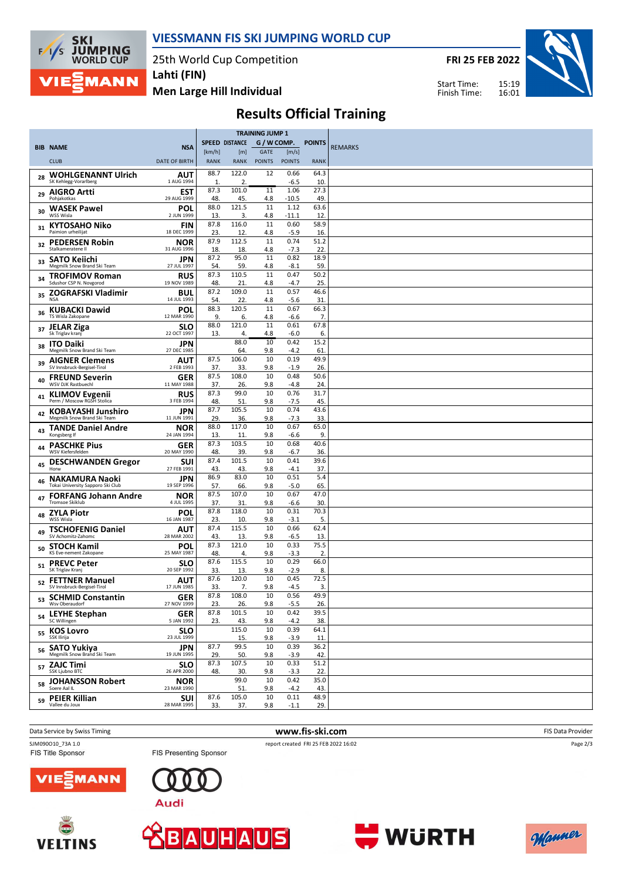

#### **VIESSMANN FIS SKI JUMPING WORLD CUP**

25th World Cup Competition

**FRI 25 FEB 2022**

Start Time: Finish Time:



**Men Large Hill Individual**

|  |  | <b>Results Official Training</b> |
|--|--|----------------------------------|
|--|--|----------------------------------|

|    |                                                      |                           |             |                         | <b>TRAINING JUMP 1</b> |                 |               |                |
|----|------------------------------------------------------|---------------------------|-------------|-------------------------|------------------------|-----------------|---------------|----------------|
|    | <b>BIB NAME</b>                                      | <b>NSA</b>                |             | <b>SPEED DISTANCE</b>   | $G/W$ COMP.            |                 | <b>POINTS</b> | <b>REMARKS</b> |
|    |                                                      |                           | [km/h]      | [m]                     | GATE                   | [m/s]           |               |                |
|    | <b>CLUB</b>                                          | <b>DATE OF BIRTH</b>      | <b>RANK</b> | <b>RANK</b>             | <b>POINTS</b>          | <b>POINTS</b>   | <b>RANK</b>   |                |
| 28 | <b>WOHLGENANNT Ulrich</b><br>SK Kehlegg-Vorarlberg   | <b>AUT</b><br>1 AUG 1994  | 88.7        | 122.0                   | 12                     | 0.66            | 64.3          |                |
|    | <b>AIGRO Artti</b>                                   | <b>EST</b>                | 1<br>87.3   | $\overline{2}$<br>101.0 | 11                     | -6.5<br>1.06    | 10<br>27.3    |                |
| 29 | Pohjakotkas                                          | 29 AUG 1999               | 48          | 45.                     | 4.8                    | $-10.5$         | 49            |                |
| 30 | WASEK Pawel<br>WSS Wisla                             | POL<br>2 JUN 1999         | 88.0<br>13  | 121.5<br>3.             | 11                     | 1.12<br>$-11.1$ | 63.6<br>12.   |                |
|    | <b>KYTOSAHO Niko</b>                                 | <b>FIN</b>                | 87.8        | 116.0                   | 4.8<br>11              | 0.60            | 58.9          |                |
| 31 | Paimion urheilijat                                   | 18 DEC 1999               | 23          | 12.                     | 4.8                    | $-5.9$          | 16.           |                |
| 32 | <b>PEDERSEN Robin</b><br>Stalkameratene II           | NOR<br>31 AUG 1996        | 87.9<br>18  | 112.5<br>18.            | 11<br>4.8              | 0.74<br>$-7.3$  | 51.2<br>22.   |                |
| 33 | <b>SATO Keiichi</b>                                  | JPN                       | 87.2        | 95.0                    | 11                     | 0.82            | 18.9          |                |
|    | Megmilk Snow Brand Ski Team                          | 27 JUL 1997               | 54.<br>87.3 | 59.<br>110.5            | 4.8<br>11              | -8.1<br>0.47    | 59.<br>50.2   |                |
| 34 | <b>TROFIMOV Roman</b><br>Sdushor CSP N. Novgorod     | <b>RUS</b><br>19 NOV 1989 | 48.         | 21.                     | 4.8                    | -4.7            | 25.           |                |
| 35 | ZOGRAFSKI Vladimir                                   | <b>BUL</b>                | 87.2        | 109.0                   | 11                     | 0.57            | 46.6          |                |
|    | <b>NSA</b>                                           | 14 JUL 1993               | 54.<br>88.3 | 22.<br>120.5            | 4.8<br>11              | $-5.6$<br>0.67  | 31            |                |
| 36 | <b>KUBACKI Dawid</b><br>TS Wisla Zakopane            | POL<br>12 MAR 1990        | 9.          | 6.                      | 4.8                    | -6.6            | 66.3<br>7.    |                |
| 37 | <b>JELAR Ziga</b>                                    | <b>SLO</b>                | 88.0        | 121.0                   | 11                     | 0.61            | 67.8          |                |
|    | Sk Triglav kranj                                     | 22 OCT 1997<br>JPN        | 13.         | 4.<br>88.0              | 4.8<br>10              | -6.0<br>0.42    | 6.<br>15.2    |                |
| 38 | <b>ITO Daiki</b><br>Megmilk Snow Brand Ski Team      | 27 DEC 1985               |             | 64.                     | 9.8                    | $-4.2$          | 61            |                |
| 39 | <b>AIGNER Clemens</b><br>SV Innsbruck-Bergisel-Tirol | AUT<br>2 FEB 1993         | 87.5<br>37. | 106.0<br>33.            | 10<br>9.8              | 0.19<br>$-1.9$  | 49.9<br>26.   |                |
|    | <b>FREUND Severin</b>                                | GER                       | 87.5        | 108.0                   | 10                     | 0.48            | 50.6          |                |
| 40 | <b>WSV DJK Rastbuechl</b>                            | 11 MAY 1988               | 37.         | 26.                     | 9.8                    | $-4.8$          | 24.           |                |
| 41 | <b>KLIMOV Evgenii</b><br>Perm / Moscow RGSH Stolica  | <b>RUS</b><br>3 FEB 1994  | 87.3<br>48  | 99.0<br>51              | 10<br>9.8              | 0.76<br>$-7.5$  | 31.7<br>45.   |                |
| 42 | <b>KOBAYASHI Junshiro</b>                            | <b>JPN</b>                | 87.7        | 105.5                   | 10                     | 0.74            | 43.6          |                |
|    | Megmilk Snow Brand Ski Team                          | 11 JUN 1991               | 29          | 36.                     | 9.8                    | $-7.3$          | 33.           |                |
| 43 | <b>TANDE Daniel Andre</b><br>Kongsberg If            | NOR<br>24 JAN 1994        | 88.0<br>13. | 117.0<br>11.            | 10<br>9.8              | 0.67<br>-6.6    | 65.0<br>9.    |                |
| 44 | <b>PASCHKE Pius</b>                                  | GER                       | 87.3        | 103.5                   | 10                     | 0.68            | 40.6          |                |
|    | WSV Kiefersfelden<br><b>DESCHWANDEN Gregor</b>       | 20 MAY 1990<br><b>SUI</b> | 48<br>87.4  | 39.<br>101.5            | 9.8<br>10              | $-6.7$<br>0.41  | 36.<br>39.6   |                |
| 45 | Horw                                                 | 27 FEB 1991               | 43          | 43.                     | 9.8                    | $-4.1$          | 37.           |                |
| 46 | NAKAMURA Naoki<br>Tokai University Sapporo Ski Club  | JPN<br>19 SEP 1996        | 86.9<br>57. | 83.0<br>66.             | 10<br>9.8              | 0.51<br>$-5.0$  | 5.4<br>65.    |                |
| 47 | <b>FORFANG Johann Andre</b>                          | <b>NOR</b>                | 87.5        | 107.0                   | 10                     | 0.67            | 47.0          |                |
|    | <b>Tromsoe Skiklub</b>                               | 4 JUL 1995                | 37<br>87.8  | 31.<br>118.0            | 9.8<br>10              | -6.6<br>0.31    | 30.<br>70.3   |                |
| 48 | <b>ZYLA Piotr</b><br>WSS Wisla                       | POL<br>16 JAN 1987        | 23          | 10.                     | 9.8                    | $-3.1$          | 5.            |                |
| 49 | TSCHOFENIG Daniel<br>SV Achomitz-Zahomc              | AUT<br>28 MAR 2002        | 87.4<br>43  | 115.5<br>13.            | 10<br>9.8              | 0.66<br>-6.5    | 62.4<br>13.   |                |
| 50 | <b>STOCH Kamil</b>                                   | POL                       | 87.3        | 121.0                   | 10                     | 0.33            | 75.5          |                |
|    | KS Eve-nement Zakopane                               | 25 MAY 1987               | 48<br>87.6  | 4.<br>115.5             | 9.8<br>10              | $-3.3$<br>0.29  | 2.<br>66.0    |                |
| 51 | <b>PREVC Peter</b><br>SK Triglav Kranj               | <b>SLO</b><br>20 SEP 1992 | 33          | 13.                     | 9.8                    | $-2.9$          | 8.            |                |
| 52 | <b>FETTNER Manuel</b>                                | <b>AUT</b>                | 87.6        | 120.0                   | 10                     | 0.45            | 72.5          |                |
|    | SV Innsbruck-Bergisel-Tirol<br>53 SCHMID Constantin  | 17 JUN 1985<br>GER        | 33.<br>87.8 | 7.<br>108.0             | 9.8<br>10              | $-4.5$<br>0.56  | 3.<br>49.9    |                |
|    | Wsv Oberaudorf                                       | 27 NOV 1999               | 23.         | 26.                     | 9.8                    | $-5.5$          | 26.           |                |
|    | 54 LEYHE Stephan<br>SC Willingen                     | <b>GER</b><br>5 JAN 1992  | 87.8<br>23. | 101.5<br>43.            | 10<br>9.8              | 0.42<br>$-4.2$  | 39.5<br>38.   |                |
|    |                                                      | <b>SLO</b>                |             | 115.0                   | 10                     | 0.39            | 64.1          |                |
|    | 55 KOS Lovro                                         | 23 JUL 1999               |             | 15.                     | 9.8                    | $-3.9$          | 11.           |                |
| 56 | <b>SATO Yukiya</b><br>Megmilk Snow Brand Ski Team    | <b>JPN</b><br>19 JUN 1995 | 87.7<br>29. | 99.5<br>50.             | 10<br>9.8              | 0.39<br>$-3.9$  | 36.2<br>42.   |                |
| 57 | <b>ZAJC Timi</b>                                     | <b>SLO</b>                | 87.3        | 107.5                   | 10                     | 0.33            | 51.2          |                |
|    | SSK Ljubno BTC<br><b>JOHANSSON Robert</b>            | 26 APR 2000               | 48.         | 30.<br>99.0             | 9.8<br>10              | $-3.3$<br>0.42  | 22.<br>35.0   |                |
| 58 | Soere Aal IL                                         | <b>NOR</b><br>23 MAR 1990 |             | 51.                     | 9.8                    | $-4.2$          | 43.           |                |
| 59 | <b>PEIER Killian</b>                                 | <b>SUI</b>                | 87.6        | 105.0                   | 10                     | 0.11            | 48.9          |                |
|    | Vallee du Joux                                       | 28 MAR 1995               | 33.         | 37.                     | 9.8                    | $-1.1$          | 29.           |                |

**Data Service by Swiss Timing** FIS Data Provider **www.fis-ski.com** FIS Data Provider

SJM090010\_73A 1.0 report created FRI 25 FEB 2022 16:02<br>
FIS Title Sponsor FIS Presenting Sponsor FIS Title Sponsor

Page 2/3